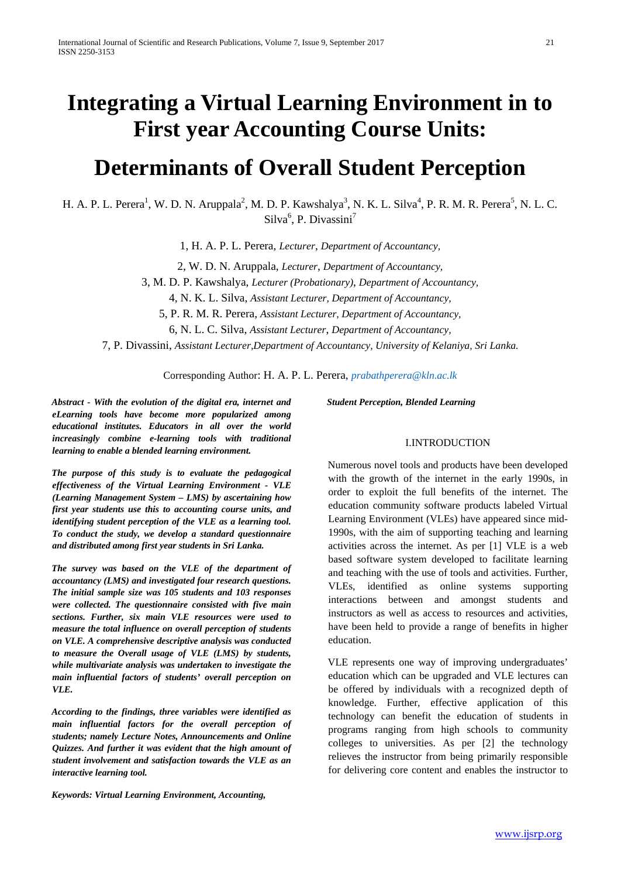# **Integrating a Virtual Learning Environment in to First year Accounting Course Units:**

# **Determinants of Overall Student Perception**

H. A. P. L. Perera<sup>1</sup>, W. D. N. Aruppala<sup>2</sup>, M. D. P. Kawshalya<sup>3</sup>, N. K. L. Silva<sup>4</sup>, P. R. M. R. Perera<sup>5</sup>, N. L. C. Silva<sup>6</sup>, P. Divassini<sup>7</sup>

1, H. A. P. L. Perera, *Lecturer*, *Department of Accountancy,* 

2, W. D. N. Aruppala, *Lecturer*, *Department of Accountancy,* 

3, M. D. P. Kawshalya, *Lecturer (Probationary)*, *Department of Accountancy,* 

4, N. K. L. Silva, *Assistant Lecturer, Department of Accountancy,* 

5, P. R. M. R. Perera, *Assistant Lecturer, Department of Accountancy,* 

6, N. L. C. Silva, *Assistant Lecturer*, *Department of Accountancy,* 

7, P. Divassini, *Assistant Lecturer,Department of Accountancy, University of Kelaniya, Sri Lanka.*

Corresponding Author: H. A. P. L. Perera, *prabathperera@kln.ac.lk*

*Abstract - With the evolution of the digital era, internet and eLearning tools have become more popularized among educational institutes. Educators in all over the world increasingly combine e-learning tools with traditional learning to enable a blended learning environment.* 

*The purpose of this study is to evaluate the pedagogical effectiveness of the Virtual Learning Environment - VLE (Learning Management System – LMS) by ascertaining how first year students use this to accounting course units, and identifying student perception of the VLE as a learning tool. To conduct the study, we develop a standard questionnaire and distributed among first year students in Sri Lanka.* 

*The survey was based on the VLE of the department of accountancy (LMS) and investigated four research questions. The initial sample size was 105 students and 103 responses were collected. The questionnaire consisted with five main sections. Further, six main VLE resources were used to measure the total influence on overall perception of students on VLE. A comprehensive descriptive analysis was conducted to measure the Overall usage of VLE (LMS) by students, while multivariate analysis was undertaken to investigate the main influential factors of students' overall perception on VLE.* 

*According to the findings, three variables were identified as main influential factors for the overall perception of students; namely Lecture Notes, Announcements and Online Quizzes. And further it was evident that the high amount of student involvement and satisfaction towards the VLE as an interactive learning tool.* 

*Keywords: Virtual Learning Environment, Accounting,* 

*Student Perception, Blended Learning* 

## I.INTRODUCTION

Numerous novel tools and products have been developed with the growth of the internet in the early 1990s, in order to exploit the full benefits of the internet. The education community software products labeled Virtual Learning Environment (VLEs) have appeared since mid-1990s, with the aim of supporting teaching and learning activities across the internet. As per [1] VLE is a web based software system developed to facilitate learning and teaching with the use of tools and activities. Further, VLEs, identified as online systems supporting interactions between and amongst students and instructors as well as access to resources and activities, have been held to provide a range of benefits in higher education.

VLE represents one way of improving undergraduates' education which can be upgraded and VLE lectures can be offered by individuals with a recognized depth of knowledge. Further, effective application of this technology can benefit the education of students in programs ranging from high schools to community colleges to universities. As per [2] the technology relieves the instructor from being primarily responsible for delivering core content and enables the instructor to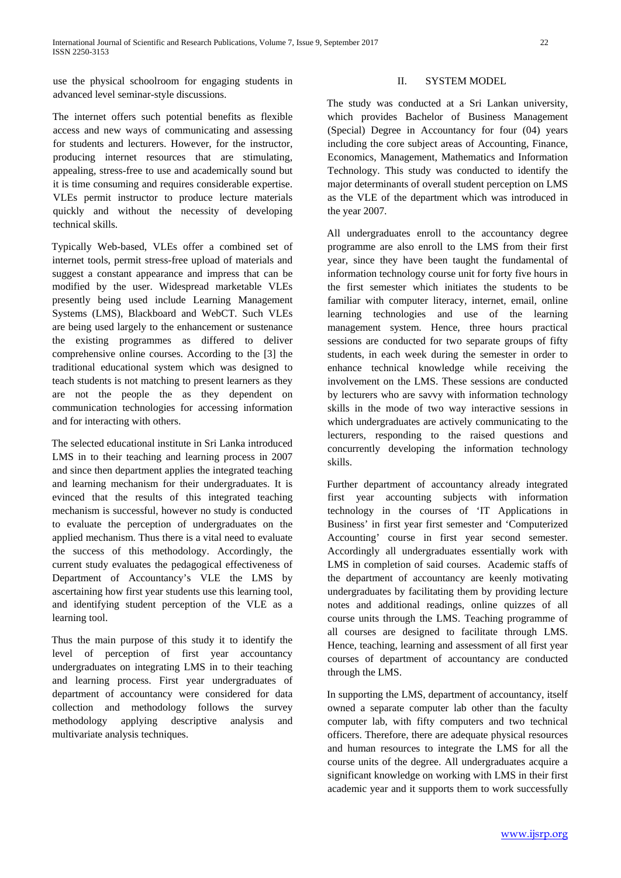use the physical schoolroom for engaging students in advanced level seminar-style discussions.

The internet offers such potential benefits as flexible access and new ways of communicating and assessing for students and lecturers. However, for the instructor, producing internet resources that are stimulating, appealing, stress-free to use and academically sound but it is time consuming and requires considerable expertise. VLEs permit instructor to produce lecture materials quickly and without the necessity of developing technical skills.

Typically Web-based, VLEs offer a combined set of internet tools, permit stress-free upload of materials and suggest a constant appearance and impress that can be modified by the user. Widespread marketable VLEs presently being used include Learning Management Systems (LMS), Blackboard and WebCT. Such VLEs are being used largely to the enhancement or sustenance the existing programmes as differed to deliver comprehensive online courses. According to the [3] the traditional educational system which was designed to teach students is not matching to present learners as they are not the people the as they dependent on communication technologies for accessing information and for interacting with others.

The selected educational institute in Sri Lanka introduced LMS in to their teaching and learning process in 2007 and since then department applies the integrated teaching and learning mechanism for their undergraduates. It is evinced that the results of this integrated teaching mechanism is successful, however no study is conducted to evaluate the perception of undergraduates on the applied mechanism. Thus there is a vital need to evaluate the success of this methodology. Accordingly, the current study evaluates the pedagogical effectiveness of Department of Accountancy's VLE the LMS by ascertaining how first year students use this learning tool, and identifying student perception of the VLE as a learning tool.

Thus the main purpose of this study it to identify the level of perception of first year accountancy undergraduates on integrating LMS in to their teaching and learning process. First year undergraduates of department of accountancy were considered for data collection and methodology follows the survey methodology applying descriptive analysis and multivariate analysis techniques.

#### II. SYSTEM MODEL

The study was conducted at a Sri Lankan university, which provides Bachelor of Business Management (Special) Degree in Accountancy for four (04) years including the core subject areas of Accounting, Finance, Economics, Management, Mathematics and Information Technology. This study was conducted to identify the major determinants of overall student perception on LMS as the VLE of the department which was introduced in the year 2007.

All undergraduates enroll to the accountancy degree programme are also enroll to the LMS from their first year, since they have been taught the fundamental of information technology course unit for forty five hours in the first semester which initiates the students to be familiar with computer literacy, internet, email, online learning technologies and use of the learning management system. Hence, three hours practical sessions are conducted for two separate groups of fifty students, in each week during the semester in order to enhance technical knowledge while receiving the involvement on the LMS. These sessions are conducted by lecturers who are savvy with information technology skills in the mode of two way interactive sessions in which undergraduates are actively communicating to the lecturers, responding to the raised questions and concurrently developing the information technology skills.

Further department of accountancy already integrated first year accounting subjects with information technology in the courses of 'IT Applications in Business' in first year first semester and 'Computerized Accounting' course in first year second semester. Accordingly all undergraduates essentially work with LMS in completion of said courses. Academic staffs of the department of accountancy are keenly motivating undergraduates by facilitating them by providing lecture notes and additional readings, online quizzes of all course units through the LMS. Teaching programme of all courses are designed to facilitate through LMS. Hence, teaching, learning and assessment of all first year courses of department of accountancy are conducted through the LMS.

In supporting the LMS, department of accountancy, itself owned a separate computer lab other than the faculty computer lab, with fifty computers and two technical officers. Therefore, there are adequate physical resources and human resources to integrate the LMS for all the course units of the degree. All undergraduates acquire a significant knowledge on working with LMS in their first academic year and it supports them to work successfully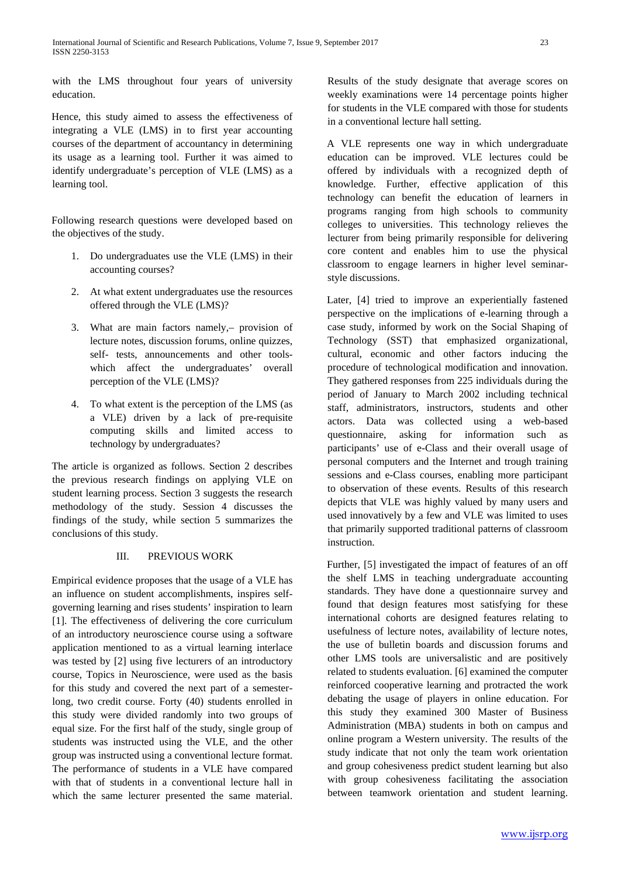with the LMS throughout four years of university education.

Hence, this study aimed to assess the effectiveness of integrating a VLE (LMS) in to first year accounting courses of the department of accountancy in determining its usage as a learning tool. Further it was aimed to identify undergraduate's perception of VLE (LMS) as a learning tool.

Following research questions were developed based on the objectives of the study.

- 1. Do undergraduates use the VLE (LMS) in their accounting courses?
- 2. At what extent undergraduates use the resources offered through the VLE (LMS)?
- 3. What are main factors namely,– provision of lecture notes, discussion forums, online quizzes, self- tests, announcements and other toolswhich affect the undergraduates' overall perception of the VLE (LMS)?
- 4. To what extent is the perception of the LMS (as a VLE) driven by a lack of pre-requisite computing skills and limited access to technology by undergraduates?

The article is organized as follows. Section 2 describes the previous research findings on applying VLE on student learning process. Section 3 suggests the research methodology of the study. Session 4 discusses the findings of the study, while section 5 summarizes the conclusions of this study.

#### III. PREVIOUS WORK

Empirical evidence proposes that the usage of a VLE has an influence on student accomplishments, inspires selfgoverning learning and rises students' inspiration to learn [1]. The effectiveness of delivering the core curriculum of an introductory neuroscience course using a software application mentioned to as a virtual learning interlace was tested by [2] using five lecturers of an introductory course, Topics in Neuroscience, were used as the basis for this study and covered the next part of a semesterlong, two credit course. Forty (40) students enrolled in this study were divided randomly into two groups of equal size. For the first half of the study, single group of students was instructed using the VLE, and the other group was instructed using a conventional lecture format. The performance of students in a VLE have compared with that of students in a conventional lecture hall in which the same lecturer presented the same material.

Results of the study designate that average scores on weekly examinations were 14 percentage points higher for students in the VLE compared with those for students in a conventional lecture hall setting.

A VLE represents one way in which undergraduate education can be improved. VLE lectures could be offered by individuals with a recognized depth of knowledge. Further, effective application of this technology can benefit the education of learners in programs ranging from high schools to community colleges to universities. This technology relieves the lecturer from being primarily responsible for delivering core content and enables him to use the physical classroom to engage learners in higher level seminarstyle discussions.

Later, [4] tried to improve an experientially fastened perspective on the implications of e-learning through a case study, informed by work on the Social Shaping of Technology (SST) that emphasized organizational, cultural, economic and other factors inducing the procedure of technological modification and innovation. They gathered responses from 225 individuals during the period of January to March 2002 including technical staff, administrators, instructors, students and other actors. Data was collected using a web-based questionnaire, asking for information such as participants' use of e-Class and their overall usage of personal computers and the Internet and trough training sessions and e-Class courses, enabling more participant to observation of these events. Results of this research depicts that VLE was highly valued by many users and used innovatively by a few and VLE was limited to uses that primarily supported traditional patterns of classroom instruction.

Further, [5] investigated the impact of features of an off the shelf LMS in teaching undergraduate accounting standards. They have done a questionnaire survey and found that design features most satisfying for these international cohorts are designed features relating to usefulness of lecture notes, availability of lecture notes, the use of bulletin boards and discussion forums and other LMS tools are universalistic and are positively related to students evaluation. [6] examined the computer reinforced cooperative learning and protracted the work debating the usage of players in online education. For this study they examined 300 Master of Business Administration (MBA) students in both on campus and online program a Western university. The results of the study indicate that not only the team work orientation and group cohesiveness predict student learning but also with group cohesiveness facilitating the association between teamwork orientation and student learning.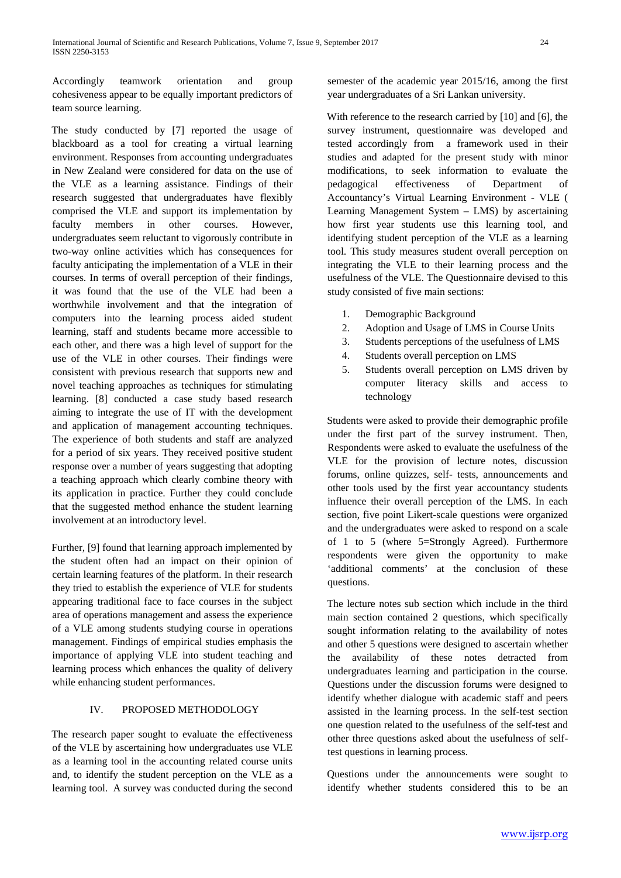Accordingly teamwork orientation and group cohesiveness appear to be equally important predictors of team source learning.

The study conducted by [7] reported the usage of blackboard as a tool for creating a virtual learning environment. Responses from accounting undergraduates in New Zealand were considered for data on the use of the VLE as a learning assistance. Findings of their research suggested that undergraduates have flexibly comprised the VLE and support its implementation by faculty members in other courses. However, undergraduates seem reluctant to vigorously contribute in two-way online activities which has consequences for faculty anticipating the implementation of a VLE in their courses. In terms of overall perception of their findings, it was found that the use of the VLE had been a worthwhile involvement and that the integration of computers into the learning process aided student learning, staff and students became more accessible to each other, and there was a high level of support for the use of the VLE in other courses. Their findings were consistent with previous research that supports new and novel teaching approaches as techniques for stimulating learning. [8] conducted a case study based research aiming to integrate the use of IT with the development and application of management accounting techniques. The experience of both students and staff are analyzed for a period of six years. They received positive student response over a number of years suggesting that adopting a teaching approach which clearly combine theory with its application in practice. Further they could conclude that the suggested method enhance the student learning involvement at an introductory level.

Further, [9] found that learning approach implemented by the student often had an impact on their opinion of certain learning features of the platform. In their research they tried to establish the experience of VLE for students appearing traditional face to face courses in the subject area of operations management and assess the experience of a VLE among students studying course in operations management. Findings of empirical studies emphasis the importance of applying VLE into student teaching and learning process which enhances the quality of delivery while enhancing student performances.

#### IV. PROPOSED METHODOLOGY

The research paper sought to evaluate the effectiveness of the VLE by ascertaining how undergraduates use VLE as a learning tool in the accounting related course units and, to identify the student perception on the VLE as a learning tool. A survey was conducted during the second semester of the academic year 2015/16, among the first year undergraduates of a Sri Lankan university.

With reference to the research carried by [10] and [6], the survey instrument, questionnaire was developed and tested accordingly from a framework used in their studies and adapted for the present study with minor modifications, to seek information to evaluate the pedagogical effectiveness of Department of Accountancy's Virtual Learning Environment - VLE ( Learning Management System – LMS) by ascertaining how first year students use this learning tool, and identifying student perception of the VLE as a learning tool. This study measures student overall perception on integrating the VLE to their learning process and the usefulness of the VLE. The Questionnaire devised to this study consisted of five main sections:

- 1. Demographic Background
- 2. Adoption and Usage of LMS in Course Units
- 3. Students perceptions of the usefulness of LMS
- 4. Students overall perception on LMS
- 5. Students overall perception on LMS driven by computer literacy skills and access to technology

Students were asked to provide their demographic profile under the first part of the survey instrument. Then, Respondents were asked to evaluate the usefulness of the VLE for the provision of lecture notes, discussion forums, online quizzes, self- tests, announcements and other tools used by the first year accountancy students influence their overall perception of the LMS. In each section, five point Likert-scale questions were organized and the undergraduates were asked to respond on a scale of 1 to 5 (where 5=Strongly Agreed). Furthermore respondents were given the opportunity to make 'additional comments' at the conclusion of these questions.

The lecture notes sub section which include in the third main section contained 2 questions, which specifically sought information relating to the availability of notes and other 5 questions were designed to ascertain whether the availability of these notes detracted from undergraduates learning and participation in the course. Questions under the discussion forums were designed to identify whether dialogue with academic staff and peers assisted in the learning process. In the self-test section one question related to the usefulness of the self-test and other three questions asked about the usefulness of selftest questions in learning process.

Questions under the announcements were sought to identify whether students considered this to be an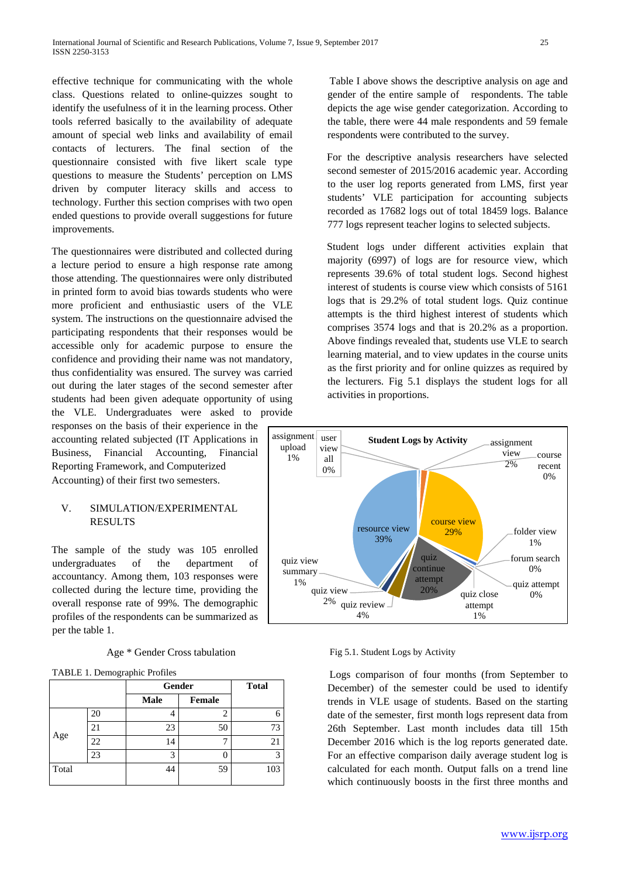effective technique for communicating with the whole class. Questions related to online-quizzes sought to identify the usefulness of it in the learning process. Other tools referred basically to the availability of adequate amount of special web links and availability of email contacts of lecturers. The final section of the questionnaire consisted with five likert scale type questions to measure the Students' perception on LMS driven by computer literacy skills and access to technology. Further this section comprises with two open ended questions to provide overall suggestions for future improvements.

The questionnaires were distributed and collected during a lecture period to ensure a high response rate among those attending. The questionnaires were only distributed in printed form to avoid bias towards students who were more proficient and enthusiastic users of the VLE system. The instructions on the questionnaire advised the participating respondents that their responses would be accessible only for academic purpose to ensure the confidence and providing their name was not mandatory, thus confidentiality was ensured. The survey was carried out during the later stages of the second semester after students had been given adequate opportunity of using the VLE. Undergraduates were asked to provide

responses on the basis of their experience in the accounting related subjected (IT Applications in Business, Financial Accounting, Financial Reporting Framework, and Computerized Accounting) of their first two semesters.

### V. SIMULATION/EXPERIMENTAL RESULTS

The sample of the study was 105 enrolled undergraduates of the department of accountancy. Among them, 103 responses were collected during the lecture time, providing the overall response rate of 99%. The demographic profiles of the respondents can be summarized as per the table 1.

| TABLE 1. Demographic Profiles |    |             |               |              |
|-------------------------------|----|-------------|---------------|--------------|
|                               |    | Gender      |               | <b>Total</b> |
|                               |    | <b>Male</b> | <b>Female</b> |              |
| Age                           | 20 |             | 2             |              |
|                               | 21 | 23          | 50            | 73           |
|                               | 22 | 14          |               | 21           |
|                               | 23 | 3           |               | з            |
| Total                         |    | 14          | 59            | 103          |

Table I above shows the descriptive analysis on age and gender of the entire sample of respondents. The table depicts the age wise gender categorization. According to the table, there were 44 male respondents and 59 female respondents were contributed to the survey.

For the descriptive analysis researchers have selected second semester of 2015/2016 academic year. According to the user log reports generated from LMS, first year students' VLE participation for accounting subjects recorded as 17682 logs out of total 18459 logs. Balance 777 logs represent teacher logins to selected subjects.

Student logs under different activities explain that majority (6997) of logs are for resource view, which represents 39.6% of total student logs. Second highest interest of students is course view which consists of 5161 logs that is 29.2% of total student logs. Quiz continue attempts is the third highest interest of students which comprises 3574 logs and that is 20.2% as a proportion. Above findings revealed that, students use VLE to search learning material, and to view updates in the course units as the first priority and for online quizzes as required by the lecturers. Fig 5.1 displays the student logs for all activities in proportions.



Fig 5.1. Student Logs by Activity

Logs comparison of four months (from September to December) of the semester could be used to identify trends in VLE usage of students. Based on the starting date of the semester, first month logs represent data from 26th September. Last month includes data till 15th December 2016 which is the log reports generated date. For an effective comparison daily average student log is calculated for each month. Output falls on a trend line which continuously boosts in the first three months and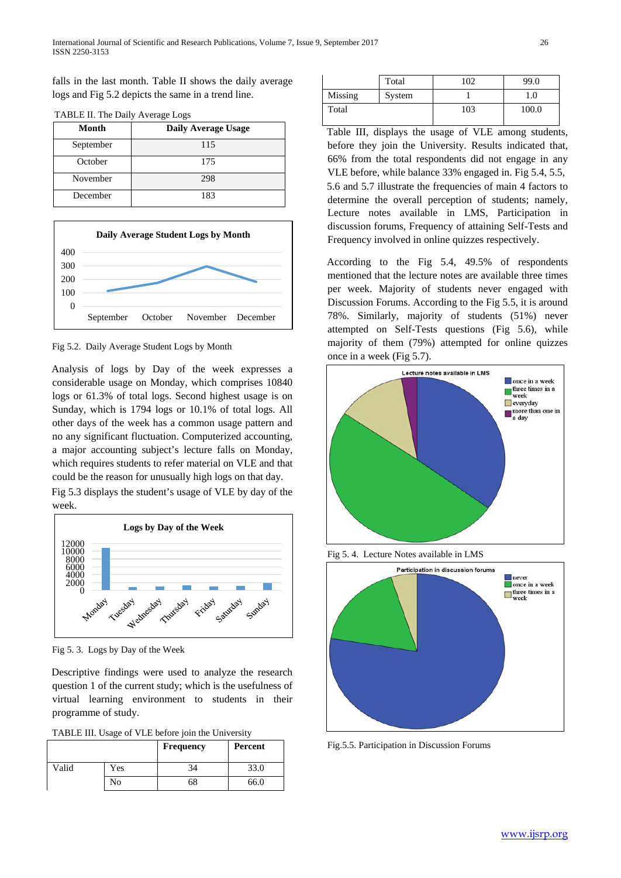falls in the last month. Table II shows the daily average logs and Fig 5.2 depicts the same in a trend line.

| 17 DLL II. The Dany Tychage Logs |                     |  |  |
|----------------------------------|---------------------|--|--|
| Month                            | Daily Average Usage |  |  |
| September                        | 115                 |  |  |
| October                          | 175                 |  |  |
| November                         | 298                 |  |  |
| December                         | 183                 |  |  |





Fig 5.2. Daily Average Student Logs by Month

Analysis of logs by Day of the week expresses a considerable usage on Monday, which comprises 10840 logs or 61.3% of total logs. Second highest usage is on Sunday, which is 1794 logs or 10.1% of total logs. All other days of the week has a common usage pattern and no any significant fluctuation. Computerized accounting, a major accounting subject's lecture falls on Monday, which requires students to refer material on VLE and that could be the reason for unusually high logs on that day.

Fig 5.3 displays the student's usage of VLE by day of the week.



Fig 5. 3. Logs by Day of the Week

Descriptive findings were used to analyze the research question 1 of the current study; which is the usefulness of virtual learning environment to students in their programme of study.

|       |     | Frequency | Percent |
|-------|-----|-----------|---------|
| Valid | Yes |           | 33.0    |
|       | No  | 68        | 66.0    |

|         | Total  | 102 | 99.0  |
|---------|--------|-----|-------|
| Missing | System |     | 0.1   |
| Total   |        | 103 | 100.0 |

Table III, displays the usage of VLE among students, before they join the University. Results indicated that, 66% from the total respondents did not engage in any VLE before, while balance 33% engaged in. Fig 5.4, 5.5, 5.6 and 5.7 illustrate the frequencies of main 4 factors to determine the overall perception of students; namely, Lecture notes available in LMS, Participation in discussion forums, Frequency of attaining Self-Tests and Frequency involved in online quizzes respectively.

According to the Fig 5.4, 49.5% of respondents mentioned that the lecture notes are available three times per week. Majority of students never engaged with Discussion Forums. According to the Fig 5.5, it is around 78%. Similarly, majority of students (51%) never attempted on Self-Tests questions (Fig 5.6), while majority of them (79%) attempted for online quizzes once in a week (Fig 5.7).



Fig 5. 4. Lecture Notes available in LMS



Fig.5.5. Participation in Discussion Forums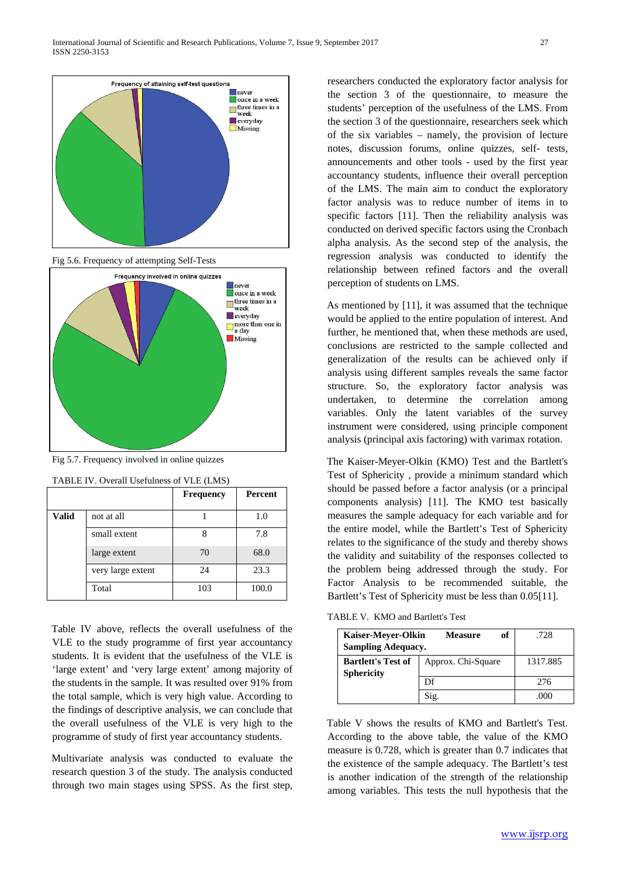

Fig 5.6. Frequency of attempting Self-Tests



Fig 5.7. Frequency involved in online quizzes

|              |                   | <b>Frequency</b> | <b>Percent</b> |
|--------------|-------------------|------------------|----------------|
| <b>Valid</b> | not at all        |                  | 1.0            |
|              | small extent      |                  | 7.8            |
|              | large extent      | 70               | 68.0           |
|              | very large extent | 24               | 23.3           |
|              | Total             | 103              | 100.0          |

| TABLE IV. Overall Usefulness of VLE (LMS) |  |  |
|-------------------------------------------|--|--|
|-------------------------------------------|--|--|

Table IV above, reflects the overall usefulness of the VLE to the study programme of first year accountancy students. It is evident that the usefulness of the VLE is 'large extent' and 'very large extent' among majority of the students in the sample. It was resulted over 91% from the total sample, which is very high value. According to the findings of descriptive analysis, we can conclude that the overall usefulness of the VLE is very high to the programme of study of first year accountancy students.

Multivariate analysis was conducted to evaluate the research question 3 of the study. The analysis conducted through two main stages using SPSS. As the first step, researchers conducted the exploratory factor analysis for the section 3 of the questionnaire, to measure the students' perception of the usefulness of the LMS. From the section 3 of the questionnaire, researchers seek which of the six variables – namely, the provision of lecture notes, discussion forums, online quizzes, self- tests, announcements and other tools - used by the first year accountancy students, influence their overall perception of the LMS. The main aim to conduct the exploratory factor analysis was to reduce number of items in to specific factors [11]. Then the reliability analysis was conducted on derived specific factors using the Cronbach alpha analysis. As the second step of the analysis, the regression analysis was conducted to identify the relationship between refined factors and the overall perception of students on LMS.

As mentioned by [11], it was assumed that the technique would be applied to the entire population of interest. And further, he mentioned that, when these methods are used, conclusions are restricted to the sample collected and generalization of the results can be achieved only if analysis using different samples reveals the same factor structure. So, the exploratory factor analysis was undertaken, to determine the correlation among variables. Only the latent variables of the survey instrument were considered, using principle component analysis (principal axis factoring) with varimax rotation.

The Kaiser-Meyer-Olkin (KMO) Test and the Bartlett's Test of Sphericity , provide a minimum standard which should be passed before a factor analysis (or a principal components analysis) [11]. The KMO test basically measures the sample adequacy for each variable and for the entire model, while the Bartlett's Test of Sphericity relates to the significance of the study and thereby shows the validity and suitability of the responses collected to the problem being addressed through the study. For Factor Analysis to be recommended suitable, the Bartlett's Test of Sphericity must be less than  $0.05[11]$ .

TABLE V. KMO and Bartlett's Test

| <b>Kaiser-Meyer-Olkin</b><br><b>Sampling Adequacy.</b> | оf<br><b>Measure</b> | .728     |
|--------------------------------------------------------|----------------------|----------|
| <b>Bartlett's Test of</b><br><b>Sphericity</b>         | Approx. Chi-Square   | 1317.885 |
|                                                        | Df                   | 276      |
|                                                        | Sig.                 | O(O)     |

Table V shows the results of KMO and Bartlett's Test. According to the above table, the value of the KMO measure is 0.728, which is greater than 0.7 indicates that the existence of the sample adequacy. The Bartlett's test is another indication of the strength of the relationship among variables. This tests the null hypothesis that the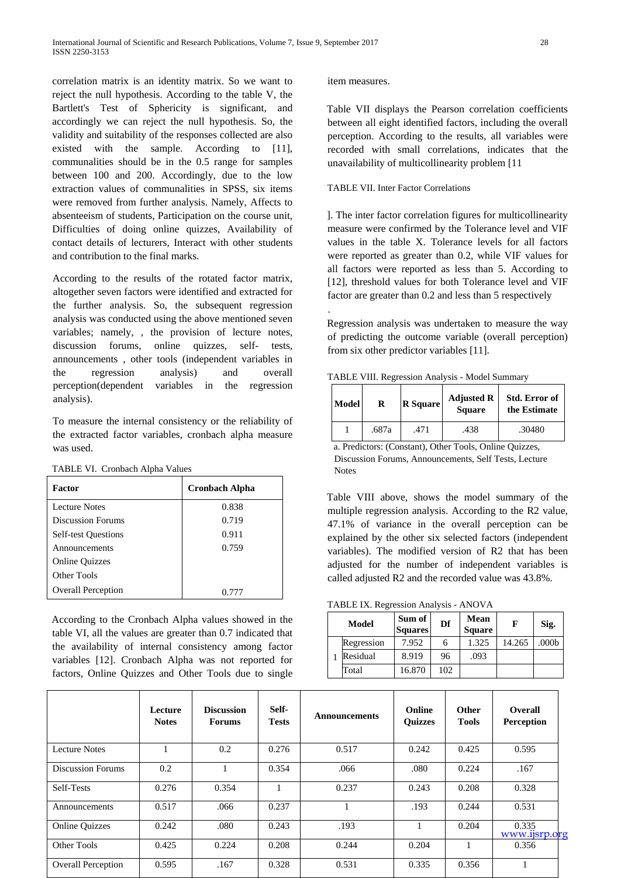correlation matrix is an identity matrix. So we want to reject the null hypothesis. According to the table V, the Bartlett's Test of Sphericity is significant, and accordingly we can reject the null hypothesis. So, the validity and suitability of the responses collected are also existed with the sample. According to [11], communalities should be in the 0.5 range for samples between 100 and 200. Accordingly, due to the low extraction values of communalities in SPSS, six items were removed from further analysis. Namely, Affects to absenteeism of students, Participation on the course unit, Difficulties of doing online quizzes, Availability of contact details of lecturers, Interact with other students and contribution to the final marks.

According to the results of the rotated factor matrix, altogether seven factors were identified and extracted for the further analysis. So, the subsequent regression analysis was conducted using the above mentioned seven variables; namely, , the provision of lecture notes, discussion forums, online quizzes, self- tests, announcements , other tools (independent variables in the regression analysis) and overall perception(dependent variables in the regression analysis).

To measure the internal consistency or the reliability of the extracted factor variables, cronbach alpha measure was used.

| TABLE VI. Cronbach Alpha Values |  |  |  |
|---------------------------------|--|--|--|
|---------------------------------|--|--|--|

| Factor                     | <b>Cronbach Alpha</b> |  |
|----------------------------|-----------------------|--|
| Lecture Notes              | 0.838                 |  |
| <b>Discussion Forums</b>   | 0.719                 |  |
| <b>Self-test Questions</b> | 0.911                 |  |
| Announcements              | 0.759                 |  |
| <b>Online Quizzes</b>      |                       |  |
| Other Tools                |                       |  |
| <b>Overall Perception</b>  | O 777                 |  |

According to the Cronbach Alpha values showed in the table VI, all the values are greater than 0.7 indicated that the availability of internal consistency among factor variables [12]. Cronbach Alpha was not reported for factors, Online Quizzes and Other Tools due to single

#### item measures.

.

Table VII displays the Pearson correlation coefficients between all eight identified factors, including the overall perception. According to the results, all variables were recorded with small correlations, indicates that the unavailability of multicollinearity problem [11

#### TABLE VII. Inter Factor Correlations

]. The inter factor correlation figures for multicollinearity measure were confirmed by the Tolerance level and VIF values in the table X. Tolerance levels for all factors were reported as greater than 0.2, while VIF values for all factors were reported as less than 5. According to [12], threshold values for both Tolerance level and VIF factor are greater than 0.2 and less than 5 respectively

Regression analysis was undertaken to measure the way of predicting the outcome variable (overall perception) from six other predictor variables [11].

TABLE VIII. Regression Analysis - Model Summary

| Model | R     | <b>R</b> Square | <b>Adjusted R</b><br><b>Square</b> | <b>Std. Error of</b><br>the Estimate |
|-------|-------|-----------------|------------------------------------|--------------------------------------|
|       | .687a | 471.            | .438                               | .30480                               |

a. Predictors: (Constant), Other Tools, Online Quizzes, Discussion Forums, Announcements, Self Tests, Lecture Notes

Table VIII above, shows the model summary of the multiple regression analysis. According to the R2 value, 47.1% of variance in the overall perception can be explained by the other six selected factors (independent variables). The modified version of R2 that has been adjusted for the number of independent variables is called adjusted R2 and the recorded value was 43.8%.

TABLE IX. Regression Analysis - ANOVA

| Model      | Sum of<br><b>Squares</b> | Df  | Mean<br><b>Square</b> | F      | Sig.              |
|------------|--------------------------|-----|-----------------------|--------|-------------------|
| Regression | 7.952                    |     | 1.325                 | 14.265 | .000 <sub>b</sub> |
| Residual   | 8.919                    | 96  | .093                  |        |                   |
| Total      | 16.870                   | 102 |                       |        |                   |

|                           | Lecture<br><b>Notes</b> | <b>Discussion</b><br><b>Forums</b> | Self-<br><b>Tests</b> | <b>Announcements</b> | Online<br><b>Ouizzes</b> | Other<br><b>Tools</b> | <b>Overall</b><br><b>Perception</b> |
|---------------------------|-------------------------|------------------------------------|-----------------------|----------------------|--------------------------|-----------------------|-------------------------------------|
| <b>Lecture Notes</b>      |                         | 0.2                                | 0.276                 | 0.517                | 0.242                    | 0.425                 | 0.595                               |
| <b>Discussion Forums</b>  | 0.2                     |                                    | 0.354                 | .066                 | .080                     | 0.224                 | .167                                |
| Self-Tests                | 0.276                   | 0.354                              |                       | 0.237                | 0.243                    | 0.208                 | 0.328                               |
| Announcements             | 0.517                   | .066                               | 0.237                 |                      | .193                     | 0.244                 | 0.531                               |
| <b>Online Quizzes</b>     | 0.242                   | .080                               | 0.243                 | .193                 |                          | 0.204                 | 0.335<br>www.ijsrp.org              |
| Other Tools               | 0.425                   | 0.224                              | 0.208                 | 0.244                | 0.204                    |                       | 0.356                               |
| <b>Overall Perception</b> | 0.595                   | .167                               | 0.328                 | 0.531                | 0.335                    | 0.356                 |                                     |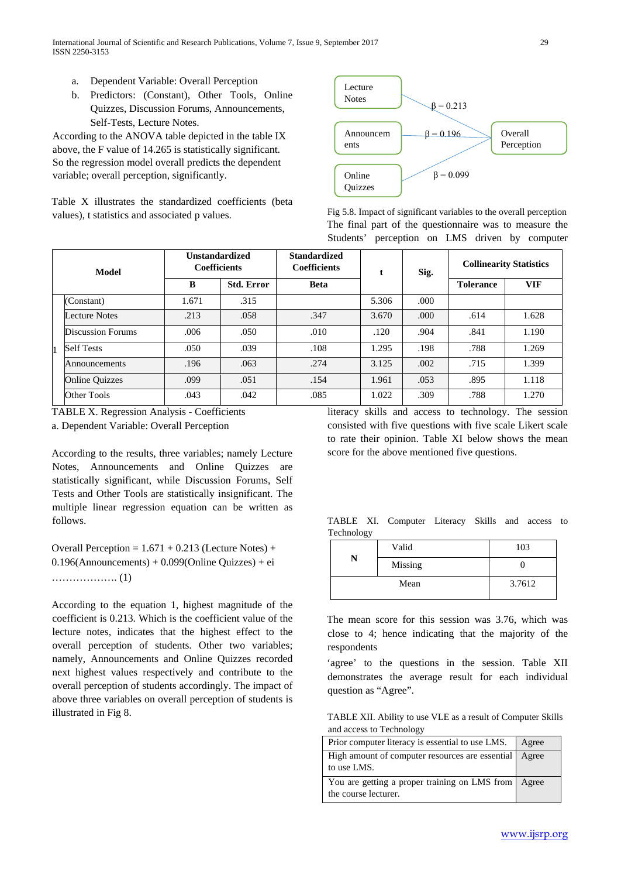- a. Dependent Variable: Overall Perception
- b. Predictors: (Constant), Other Tools, Online Quizzes, Discussion Forums, Announcements, Self-Tests, Lecture Notes.

According to the ANOVA table depicted in the table IX above, the F value of 14.265 is statistically significant. So the regression model overall predicts the dependent variable; overall perception, significantly.

Table X illustrates the standardized coefficients (beta values), t statistics and associated p values.



Fig 5.8. Impact of significant variables to the overall perception The final part of the questionnaire was to measure the Students' perception on LMS driven by computer

| Model |                       | <b>Unstandardized</b><br><b>Coefficients</b> |                   | <b>Standardized</b><br><b>Coefficients</b> |       | Sig. | <b>Collinearity Statistics</b> |            |
|-------|-----------------------|----------------------------------------------|-------------------|--------------------------------------------|-------|------|--------------------------------|------------|
|       |                       | B                                            | <b>Std. Error</b> | <b>Beta</b>                                |       |      | <b>Tolerance</b>               | <b>VIF</b> |
|       | (Constant)            | 1.671                                        | .315              |                                            | 5.306 | .000 |                                |            |
|       | Lecture Notes         | .213                                         | .058              | .347                                       | 3.670 | .000 | .614                           | 1.628      |
|       | Discussion Forums     | .006                                         | .050              | .010                                       | .120  | .904 | .841                           | 1.190      |
|       | <b>Self Tests</b>     | .050                                         | .039              | .108                                       | 1.295 | .198 | .788                           | 1.269      |
|       | Announcements         | .196                                         | .063              | .274                                       | 3.125 | .002 | .715                           | 1.399      |
|       | <b>Online Quizzes</b> | .099                                         | .051              | .154                                       | 1.961 | .053 | .895                           | 1.118      |
|       | Other Tools           | .043                                         | .042              | .085                                       | 1.022 | .309 | .788                           | 1.270      |

TABLE X. Regression Analysis - Coefficients

a. Dependent Variable: Overall Perception

According to the results, three variables; namely Lecture Notes, Announcements and Online Quizzes are statistically significant, while Discussion Forums, Self Tests and Other Tools are statistically insignificant. The multiple linear regression equation can be written as follows.

Overall Perception =  $1.671 + 0.213$  (Lecture Notes) + 0.196(Announcements) + 0.099(Online Quizzes) + ei ………………. (1)

According to the equation 1, highest magnitude of the coefficient is 0.213. Which is the coefficient value of the lecture notes, indicates that the highest effect to the overall perception of students. Other two variables; namely, Announcements and Online Quizzes recorded next highest values respectively and contribute to the overall perception of students accordingly. The impact of above three variables on overall perception of students is illustrated in Fig 8.

literacy skills and access to technology. The session consisted with five questions with five scale Likert scale to rate their opinion. Table XI below shows the mean score for the above mentioned five questions.

TABLE XI. Computer Literacy Skills and access to Technology

|   | Valid   | 103    |  |
|---|---------|--------|--|
| N | Missing |        |  |
|   | Mean    | 3.7612 |  |

The mean score for this session was 3.76, which was close to 4; hence indicating that the majority of the respondents

'agree' to the questions in the session. Table XII demonstrates the average result for each individual question as "Agree".

TABLE XII. Ability to use VLE as a result of Computer Skills and access to Technology

| Prior computer literacy is essential to use LMS.                            | Agree |
|-----------------------------------------------------------------------------|-------|
| High amount of computer resources are essential   Agree<br>to use LMS.      |       |
| You are getting a proper training on LMS from Agree<br>the course lecturer. |       |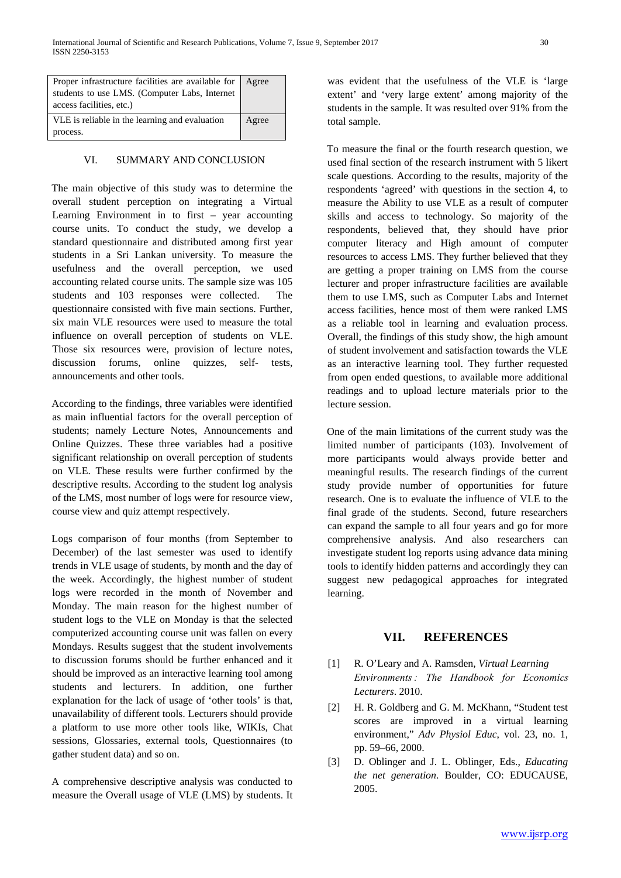| Proper infrastructure facilities are available for   Agree |       |
|------------------------------------------------------------|-------|
| students to use LMS. (Computer Labs, Internet              |       |
| access facilities, etc.)                                   |       |
| VLE is reliable in the learning and evaluation             | Agree |
| process.                                                   |       |

#### VI. SUMMARY AND CONCLUSION

The main objective of this study was to determine the overall student perception on integrating a Virtual Learning Environment in to first – year accounting course units. To conduct the study, we develop a standard questionnaire and distributed among first year students in a Sri Lankan university. To measure the usefulness and the overall perception, we used accounting related course units. The sample size was 105 students and 103 responses were collected. The questionnaire consisted with five main sections. Further, six main VLE resources were used to measure the total influence on overall perception of students on VLE. Those six resources were, provision of lecture notes, discussion forums, online quizzes, self- tests, announcements and other tools.

According to the findings, three variables were identified as main influential factors for the overall perception of students; namely Lecture Notes, Announcements and Online Quizzes. These three variables had a positive significant relationship on overall perception of students on VLE. These results were further confirmed by the descriptive results. According to the student log analysis of the LMS, most number of logs were for resource view, course view and quiz attempt respectively.

Logs comparison of four months (from September to December) of the last semester was used to identify trends in VLE usage of students, by month and the day of the week. Accordingly, the highest number of student logs were recorded in the month of November and Monday. The main reason for the highest number of student logs to the VLE on Monday is that the selected computerized accounting course unit was fallen on every Mondays. Results suggest that the student involvements to discussion forums should be further enhanced and it should be improved as an interactive learning tool among students and lecturers. In addition, one further explanation for the lack of usage of 'other tools' is that, unavailability of different tools. Lecturers should provide a platform to use more other tools like, WIKIs, Chat sessions, Glossaries, external tools, Questionnaires (to gather student data) and so on.

A comprehensive descriptive analysis was conducted to measure the Overall usage of VLE (LMS) by students. It was evident that the usefulness of the VLE is 'large extent' and 'very large extent' among majority of the students in the sample. It was resulted over 91% from the total sample.

To measure the final or the fourth research question, we used final section of the research instrument with 5 likert scale questions. According to the results, majority of the respondents 'agreed' with questions in the section 4, to measure the Ability to use VLE as a result of computer skills and access to technology. So majority of the respondents, believed that, they should have prior computer literacy and High amount of computer resources to access LMS. They further believed that they are getting a proper training on LMS from the course lecturer and proper infrastructure facilities are available them to use LMS, such as Computer Labs and Internet access facilities, hence most of them were ranked LMS as a reliable tool in learning and evaluation process. Overall, the findings of this study show, the high amount of student involvement and satisfaction towards the VLE as an interactive learning tool. They further requested from open ended questions, to available more additional readings and to upload lecture materials prior to the lecture session.

One of the main limitations of the current study was the limited number of participants (103). Involvement of more participants would always provide better and meaningful results. The research findings of the current study provide number of opportunities for future research. One is to evaluate the influence of VLE to the final grade of the students. Second, future researchers can expand the sample to all four years and go for more comprehensive analysis. And also researchers can investigate student log reports using advance data mining tools to identify hidden patterns and accordingly they can suggest new pedagogical approaches for integrated learning.

# **VII. REFERENCES**

- [1] R. O'Leary and A. Ramsden, *Virtual Learning Environments : The Handbook for Economics Lecturers*. 2010.
- [2] H. R. Goldberg and G. M. McKhann, "Student test scores are improved in a virtual learning environment," *Adv Physiol Educ*, vol. 23, no. 1, pp. 59–66, 2000.
- [3] D. Oblinger and J. L. Oblinger, Eds., *Educating the net generation*. Boulder, CO: EDUCAUSE, 2005.